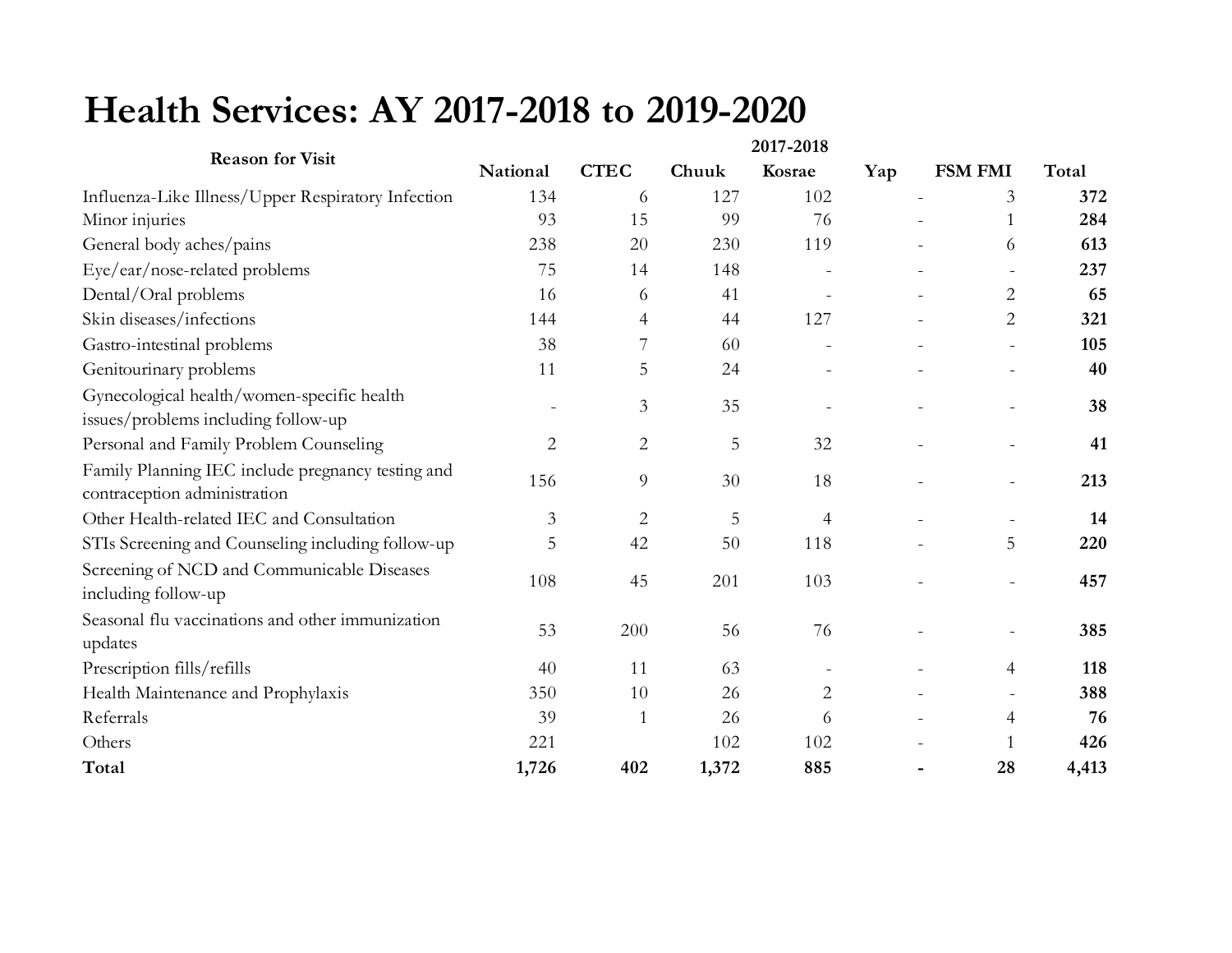## **Health Services: AY 2017-2018 to 2019-2020**

| <b>Reason for Visit</b>                                                           | 2017-2018      |                |       |                |     |                          |       |
|-----------------------------------------------------------------------------------|----------------|----------------|-------|----------------|-----|--------------------------|-------|
|                                                                                   | National       | <b>CTEC</b>    | Chuuk | Kosrae         | Yap | <b>FSM FMI</b>           | Total |
| Influenza-Like Illness/Upper Respiratory Infection                                | 134            | 6              | 127   | 102            |     | 3                        | 372   |
| Minor injuries                                                                    | 93             | 15             | 99    | 76             |     | 1                        | 284   |
| General body aches/pains                                                          | 238            | 20             | 230   | 119            |     | 6                        | 613   |
| Eye/ear/nose-related problems                                                     | 75             | 14             | 148   |                |     | $\overline{\phantom{a}}$ | 237   |
| Dental/Oral problems                                                              | 16             | 6              | 41    |                |     | $\overline{2}$           | 65    |
| Skin diseases/infections                                                          | 144            | 4              | 44    | 127            |     | $\overline{2}$           | 321   |
| Gastro-intestinal problems                                                        | 38             |                | 60    |                |     |                          | 105   |
| Genitourinary problems                                                            | 11             | 5              | 24    |                |     | $\overline{a}$           | 40    |
| Gynecological health/women-specific health<br>issues/problems including follow-up |                | 3              | 35    |                |     | $\sim$                   | 38    |
| Personal and Family Problem Counseling                                            | $\overline{c}$ | $\overline{2}$ | 5     | 32             |     |                          | 41    |
| Family Planning IEC include pregnancy testing and<br>contraception administration | 156            | 9              | 30    | 18             |     |                          | 213   |
| Other Health-related IEC and Consultation                                         | $\mathfrak{Z}$ | $\mathbf{2}$   | 5     | $\overline{4}$ |     | $\overline{\phantom{a}}$ | 14    |
| STIs Screening and Counseling including follow-up                                 | 5              | 42             | 50    | 118            |     | 5                        | 220   |
| Screening of NCD and Communicable Diseases<br>including follow-up                 | 108            | 45             | 201   | 103            |     | $\overline{\phantom{a}}$ | 457   |
| Seasonal flu vaccinations and other immunization<br>updates                       | 53             | 200            | 56    | 76             |     | $\sim$                   | 385   |
| Prescription fills/refills                                                        | 40             | 11             | 63    |                |     | $\overline{4}$           | 118   |
| Health Maintenance and Prophylaxis                                                | 350            | 10             | 26    | $\overline{c}$ |     | $\sim$                   | 388   |
| Referrals                                                                         | 39             | $\mathbf{1}$   | 26    | 6              |     | $\overline{4}$           | 76    |
| Others                                                                            | 221            |                | 102   | 102            |     | 1                        | 426   |
| Total                                                                             | 1,726          | 402            | 1,372 | 885            |     | 28                       | 4,413 |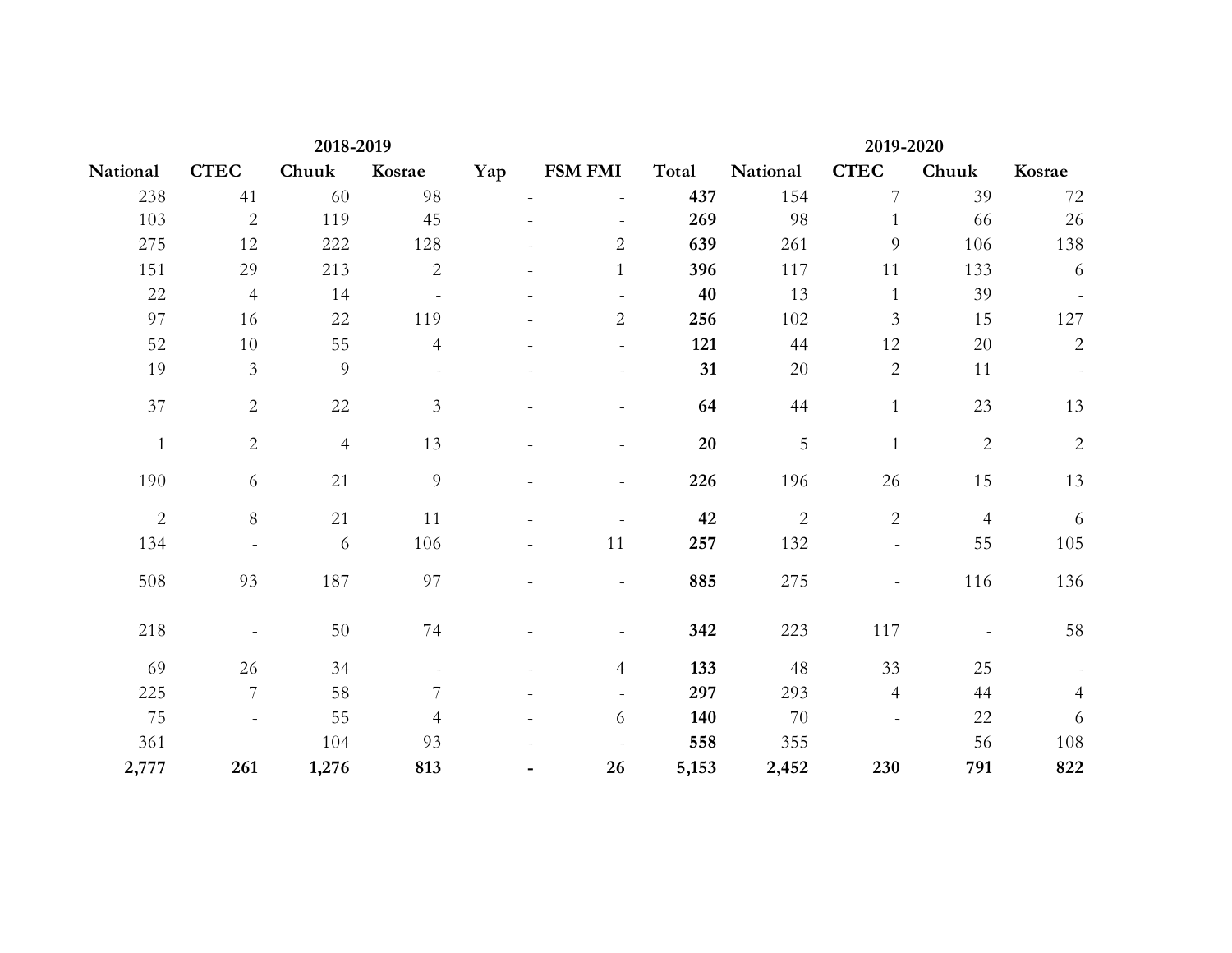| 2018-2019      |                |                |                |     | 2019-2020      |        |                |                          |                  |                |
|----------------|----------------|----------------|----------------|-----|----------------|--------|----------------|--------------------------|------------------|----------------|
| National       | <b>CTEC</b>    | Chuuk          | Kosrae         | Yap | <b>FSM FMI</b> | Total  | National       | <b>CTEC</b>              | Chuuk            | Kosrae         |
| 238            | 41             | 60             | 98             |     |                | 437    | 154            | 7                        | 39               | 72             |
| 103            | $\sqrt{2}$     | 119            | 45             |     |                | 269    | 98             | $\mathbf{1}$             | 66               | 26             |
| 275            | 12             | 222            | 128            |     | $\overline{2}$ | 639    | 261            | $\overline{9}$           | 106              | 138            |
| 151            | 29             | 213            | $\sqrt{2}$     |     | $\mathbf{1}$   | 396    | 117            | 11                       | 133              | 6              |
| 22             | $\overline{4}$ | 14             |                |     |                | 40     | 13             | $\mathbf{1}$             | 39               | $\blacksquare$ |
| 97             | 16             | 22             | 119            |     | $\overline{2}$ | 256    | 102            | $\mathfrak{Z}$           | 15               | 127            |
| 52             | $10\,$         | 55             | $\overline{4}$ |     |                | 121    | 44             | 12                       | $20\,$           | $\sqrt{2}$     |
| 19             | $\mathfrak{Z}$ | 9              |                |     |                | 31     | 20             | $\overline{c}$           | 11               |                |
| 37             | $\overline{2}$ | 22             | $\mathfrak{Z}$ |     |                | 64     | 44             | $\mathbf{1}$             | 23               | 13             |
| $\mathbf{1}$   | $\overline{2}$ | $\overline{4}$ | 13             |     |                | $20\,$ | 5              | $\mathbf 1$              | $\boldsymbol{2}$ | $\sqrt{2}$     |
| 190            | 6              | 21             | $\overline{9}$ |     |                | 226    | 196            | 26                       | 15               | 13             |
| $\overline{2}$ | $8\,$          | 21             | 11             |     |                | 42     | $\overline{2}$ | $\overline{2}$           | $\overline{4}$   | 6              |
| 134            |                | 6              | 106            |     | 11             | 257    | 132            | $\overline{\phantom{a}}$ | 55               | 105            |
| 508            | 93             | 187            | 97             |     | $\blacksquare$ | 885    | 275            | $\overline{\phantom{a}}$ | 116              | 136            |
| 218            |                | 50             | 74             |     |                | 342    | 223            | 117                      |                  | 58             |
| 69             | 26             | 34             |                |     | $\overline{4}$ | 133    | 48             | 33                       | 25               |                |
| 225            | $\overline{7}$ | $58\,$         | $\overline{7}$ |     |                | 297    | 293            | $\overline{4}$           | 44               | $\overline{4}$ |
| 75             |                | 55             | $\overline{4}$ |     | 6              | 140    | 70             |                          | 22               | $\sqrt{6}$     |
| 361            |                | 104            | 93             |     |                | 558    | 355            |                          | 56               | 108            |
| 2,777          | 261            | 1,276          | 813            |     | 26             | 5,153  | 2,452          | 230                      | 791              | 822            |